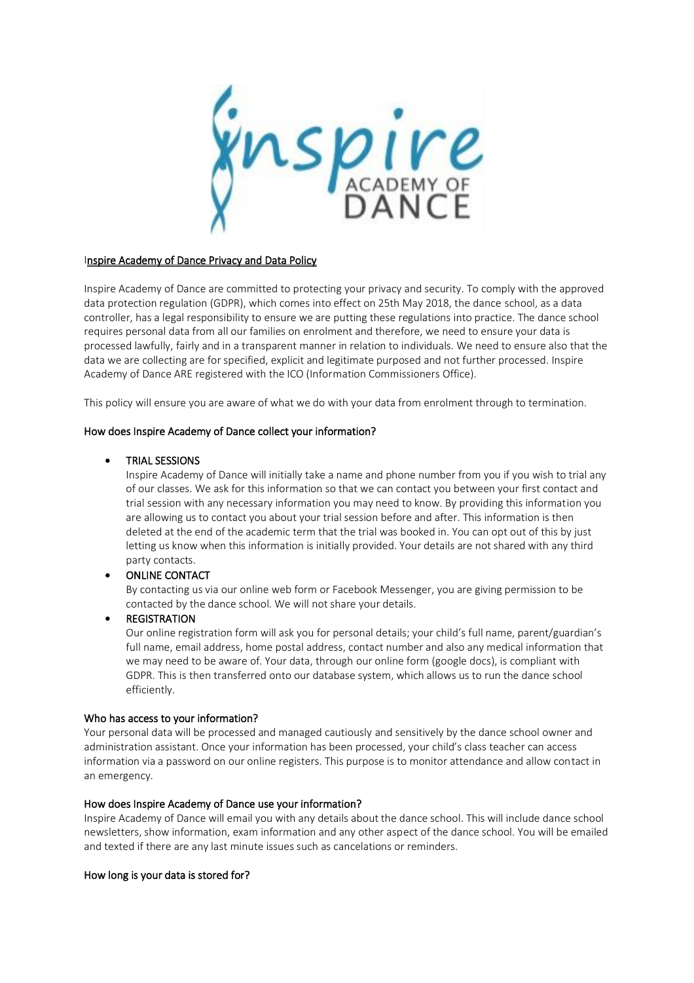**ispire** 

### Inspire Academy of Dance Privacy and Data Policy

Inspire Academy of Dance are committed to protecting your privacy and security. To comply with the approved data protection regulation (GDPR), which comes into effect on 25th May 2018, the dance school, as a data controller, has a legal responsibility to ensure we are putting these regulations into practice. The dance school requires personal data from all our families on enrolment and therefore, we need to ensure your data is processed lawfully, fairly and in a transparent manner in relation to individuals. We need to ensure also that the data we are collecting are for specified, explicit and legitimate purposed and not further processed. Inspire Academy of Dance ARE registered with the ICO (Information Commissioners Office).

This policy will ensure you are aware of what we do with your data from enrolment through to termination.

#### How does Inspire Academy of Dance collect your information?

#### • TRIAL SESSIONS

Inspire Academy of Dance will initially take a name and phone number from you if you wish to trial any of our classes. We ask for this information so that we can contact you between your first contact and trial session with any necessary information you may need to know. By providing this information you are allowing us to contact you about your trial session before and after. This information is then deleted at the end of the academic term that the trial was booked in. You can opt out of this by just letting us know when this information is initially provided. Your details are not shared with any third party contacts.

#### • ONLINE CONTACT

By contacting us via our online web form or Facebook Messenger, you are giving permission to be contacted by the dance school. We will not share your details.

#### **REGISTRATION**

Our online registration form will ask you for personal details; your child's full name, parent/guardian's full name, email address, home postal address, contact number and also any medical information that we may need to be aware of. Your data, through our online form (google docs), is compliant with GDPR. This is then transferred onto our database system, which allows us to run the dance school efficiently.

#### Who has access to your information?

Your personal data will be processed and managed cautiously and sensitively by the dance school owner and administration assistant. Once your information has been processed, your child's class teacher can access information via a password on our online registers. This purpose is to monitor attendance and allow contact in an emergency.

#### How does Inspire Academy of Dance use your information?

Inspire Academy of Dance will email you with any details about the dance school. This will include dance school newsletters, show information, exam information and any other aspect of the dance school. You will be emailed and texted if there are any last minute issues such as cancelations or reminders.

#### How long is your data is stored for?